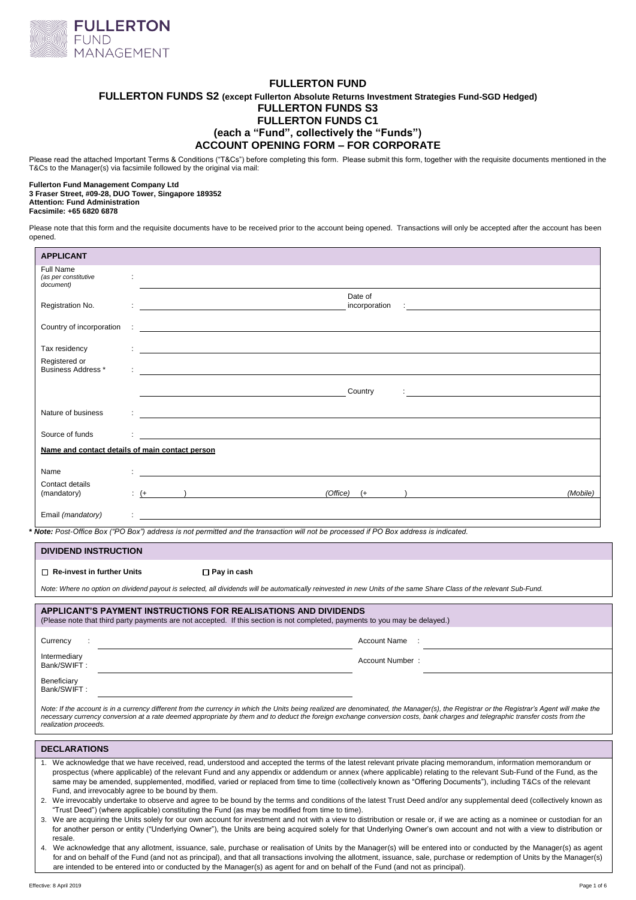

# **FULLERTON FUND FULLERTON FUNDS S2 (except Fullerton Absolute Returns Investment Strategies Fund-SGD Hedged) FULLERTON FUNDS S3 FULLERTON FUNDS C1 (each a "Fund", collectively the "Funds") ACCOUNT OPENING FORM – FOR CORPORATE**

Please read the attached Important Terms & Conditions ("T&Cs") before completing this form. Please submit this form, together with the requisite documents mentioned in the T&Cs to the Manager(s) via facsimile followed by the original via mail:

#### **Fullerton Fund Management Company Ltd 3 Fraser Street, #09-28, DUO Tower, Singapore 189352 Attention: Fund Administration Facsimile: +65 6820 6878**

Please note that this form and the requisite documents have to be received prior to the account being opened. Transactions will only be accepted after the account has been opened.

| <b>APPLICANT</b>                                |           |  |  |                                                                                                                     |                          |  |                                                                                                                                                                                                                                      |  |          |
|-------------------------------------------------|-----------|--|--|---------------------------------------------------------------------------------------------------------------------|--------------------------|--|--------------------------------------------------------------------------------------------------------------------------------------------------------------------------------------------------------------------------------------|--|----------|
| Full Name<br>(as per constitutive<br>document)  | ÷         |  |  |                                                                                                                     |                          |  |                                                                                                                                                                                                                                      |  |          |
| Registration No.                                |           |  |  |                                                                                                                     | Date of<br>incorporation |  | <u> 1980 - Jan Stein Stein Stein Stein Stein Stein Stein Stein Stein Stein Stein Stein Stein Stein Stein Stein S</u>                                                                                                                 |  |          |
| Country of incorporation                        |           |  |  | <u> 1989 - Johann John Stein, markin sanadi amerikan bahasa dalam pengaran bahasa dalam pengaran bahasa pengara</u> |                          |  |                                                                                                                                                                                                                                      |  |          |
| Tax residency                                   |           |  |  |                                                                                                                     |                          |  |                                                                                                                                                                                                                                      |  |          |
| Registered or<br>Business Address *             |           |  |  |                                                                                                                     |                          |  |                                                                                                                                                                                                                                      |  |          |
|                                                 |           |  |  |                                                                                                                     | Country                  |  | <u>and the contract of the contract of the contract of the contract of the contract of the contract of the contract of the contract of the contract of the contract of the contract of the contract of the contract of the contr</u> |  |          |
|                                                 |           |  |  |                                                                                                                     |                          |  |                                                                                                                                                                                                                                      |  |          |
| Nature of business                              |           |  |  | <u> 1989 - John Stein, Amerikaansk politiker (</u>                                                                  |                          |  |                                                                                                                                                                                                                                      |  |          |
| Source of funds                                 |           |  |  | <u> 1980 - Andrea Station Barbara, amerikan personal (h. 1980).</u>                                                 |                          |  |                                                                                                                                                                                                                                      |  |          |
| Name and contact details of main contact person |           |  |  |                                                                                                                     |                          |  |                                                                                                                                                                                                                                      |  |          |
|                                                 |           |  |  |                                                                                                                     |                          |  |                                                                                                                                                                                                                                      |  |          |
| Name                                            |           |  |  |                                                                                                                     |                          |  |                                                                                                                                                                                                                                      |  |          |
| Contact details<br>(mandatory)                  | $\div$ (+ |  |  | (Office)                                                                                                            | $(+$                     |  |                                                                                                                                                                                                                                      |  | (Mobile) |
| Email (mandatory)                               |           |  |  |                                                                                                                     |                          |  |                                                                                                                                                                                                                                      |  |          |

**\*** *Note: Post-Office Box ("PO Box") address is not permitted and the transaction will not be processed if PO Box address is indicated.* 

| <b>DIVIDEND INSTRUCTION</b>       |                                                                                                                                                                                                                                                                                                                                                                           |
|-----------------------------------|---------------------------------------------------------------------------------------------------------------------------------------------------------------------------------------------------------------------------------------------------------------------------------------------------------------------------------------------------------------------------|
| $\Box$ Re-invest in further Units | $\square$ Pay in cash                                                                                                                                                                                                                                                                                                                                                     |
|                                   | Note: Where no option on dividend payout is selected, all dividends will be automatically reinvested in new Units of the same Share Class of the relevant Sub-Fund.                                                                                                                                                                                                       |
|                                   | APPLICANT'S PAYMENT INSTRUCTIONS FOR REALISATIONS AND DIVIDENDS<br>(Please note that third party payments are not accepted. If this section is not completed, payments to you may be delayed.)                                                                                                                                                                            |
| Currency<br>$\ddot{\phantom{1}}$  | Account Name                                                                                                                                                                                                                                                                                                                                                              |
| Intermediary<br>Bank/SWIFT:       | Account Number:                                                                                                                                                                                                                                                                                                                                                           |
| Beneficiary<br>Bank/SWIFT:        |                                                                                                                                                                                                                                                                                                                                                                           |
| realization proceeds.             | Note: If the account is in a currency different from the currency in which the Units being realized are denominated, the Manager(s), the Registrar or the Registrar's Agent will make the<br>necessary currency conversion at a rate deemed appropriate by them and to deduct the foreign exchange conversion costs, bank charges and telegraphic transfer costs from the |

#### **DECLARATIONS**

- 1. We acknowledge that we have received, read, understood and accepted the terms of the latest relevant private placing memorandum, information memorandum or prospectus (where applicable) of the relevant Fund and any appendix or addendum or annex (where applicable) relating to the relevant Sub-Fund of the Fund, as the same may be amended, supplemented, modified, varied or replaced from time to time (collectively known as "Offering Documents"), including T&Cs of the relevant Fund, and irrevocably agree to be bound by them.
- 2. We irrevocably undertake to observe and agree to be bound by the terms and conditions of the latest Trust Deed and/or any supplemental deed (collectively known as "Trust Deed") (where applicable) constituting the Fund (as may be modified from time to time).
- 3. We are acquiring the Units solely for our own account for investment and not with a view to distribution or resale or, if we are acting as a nominee or custodian for an for another person or entity ("Underlying Owner"), the Units are being acquired solely for that Underlying Owner's own account and not with a view to distribution or resale.
- 4. We acknowledge that any allotment, issuance, sale, purchase or realisation of Units by the Manager(s) will be entered into or conducted by the Manager(s) as agent for and on behalf of the Fund (and not as principal), and that all transactions involving the allotment, issuance, sale, purchase or redemption of Units by the Manager(s) are intended to be entered into or conducted by the Manager(s) as agent for and on behalf of the Fund (and not as principal).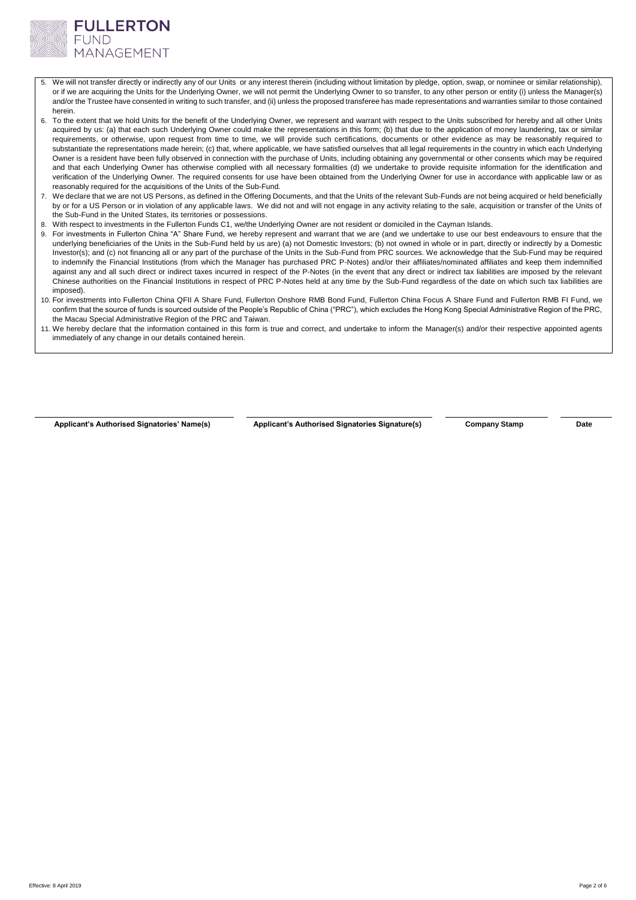

- 5. We will not transfer directly or indirectly any of our Units or any interest therein (including without limitation by pledge, option, swap, or nominee or similar relationship), or if we are acquiring the Units for the Underlying Owner, we will not permit the Underlying Owner to so transfer, to any other person or entity (i) unless the Manager(s) and/or the Trustee have consented in writing to such transfer, and (ii) unless the proposed transferee has made representations and warranties similar to those contained herein.
- 6. To the extent that we hold Units for the benefit of the Underlying Owner, we represent and warrant with respect to the Units subscribed for hereby and all other Units acquired by us: (a) that each such Underlying Owner could make the representations in this form; (b) that due to the application of money laundering, tax or similar requirements, or otherwise, upon request from time to time, we will provide such certifications, documents or other evidence as may be reasonably required to substantiate the representations made herein; (c) that, where applicable, we have satisfied ourselves that all legal requirements in the country in which each Underlying Owner is a resident have been fully observed in connection with the purchase of Units, including obtaining any governmental or other consents which may be required and that each Underlying Owner has otherwise complied with all necessary formalities (d) we undertake to provide requisite information for the identification and verification of the Underlying Owner. The required consents for use have been obtained from the Underlying Owner for use in accordance with applicable law or as reasonably required for the acquisitions of the Units of the Sub-Fund.
- 7. We declare that we are not US Persons, as defined in the Offering Documents, and that the Units of the relevant Sub-Funds are not being acquired or held beneficially by or for a US Person or in violation of any applicable laws. We did not and will not engage in any activity relating to the sale, acquisition or transfer of the Units of the Sub-Fund in the United States, its territories or possessions.
- 8. With respect to investments in the Fullerton Funds C1, we/the Underlying Owner are not resident or domiciled in the Cayman Islands.
- For investments in Fullerton China "A" Share Fund, we hereby represent and warrant that we are (and we undertake to use our best endeavours to ensure that the underlying beneficiaries of the Units in the Sub-Fund held by us are) (a) not Domestic Investors; (b) not owned in whole or in part, directly or indirectly by a Domestic Investor(s); and (c) not financing all or any part of the purchase of the Units in the Sub-Fund from PRC sources. We acknowledge that the Sub-Fund may be required to indemnify the Financial Institutions (from which the Manager has purchased PRC P-Notes) and/or their affiliates/nominated affiliates and keep them indemnified against any and all such direct or indirect taxes incurred in respect of the P-Notes (in the event that any direct or indirect tax liabilities are imposed by the relevant Chinese authorities on the Financial Institutions in respect of PRC P-Notes held at any time by the Sub-Fund regardless of the date on which such tax liabilities are imposed).
- 10. For investments into Fullerton China QFII A Share Fund, Fullerton Onshore RMB Bond Fund, Fullerton China Focus A Share Fund and Fullerton RMB FI Fund, we confirm that the source of funds is sourced outside of the People's Republic of China ("PRC"), which excludes the Hong Kong Special Administrative Region of the PRC, the Macau Special Administrative Region of the PRC and Taiwan.
- 11. We hereby declare that the information contained in this form is true and correct, and undertake to inform the Manager(s) and/or their respective appointed agents immediately of any change in our details contained herein.

**Applicant's Authorised Signatories' Name(s) Applicant's Authorised Signatories Signature(s) Company Stamp Date**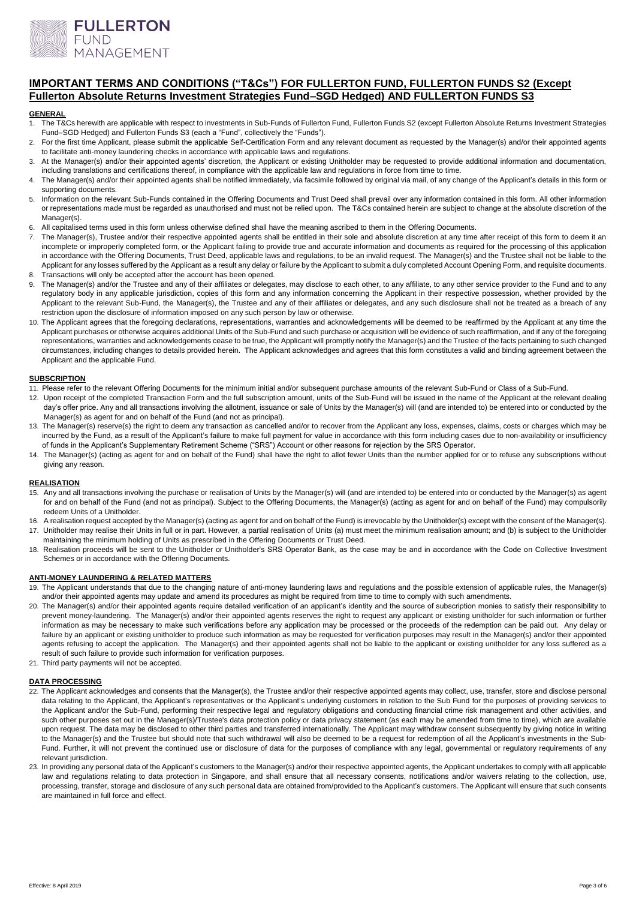

# **IMPORTANT TERMS AND CONDITIONS ("T&Cs") FOR FULLERTON FUND, FULLERTON FUNDS S2 (Except Fullerton Absolute Returns Investment Strategies Fund–SGD Hedged) AND FULLERTON FUNDS S3**

#### **GENERAL**

- 1. The T&Cs herewith are applicable with respect to investments in Sub-Funds of Fullerton Fund, Fullerton Funds S2 (except Fullerton Absolute Returns Investment Strategies Fund–SGD Hedged) and Fullerton Funds S3 (each a "Fund", collectively the "Funds").
- 2. For the first time Applicant, please submit the applicable Self-Certification Form and any relevant document as requested by the Manager(s) and/or their appointed agents to facilitate anti-money laundering checks in accordance with applicable laws and regulations.
- 3. At the Manager(s) and/or their appointed agents' discretion, the Applicant or existing Unitholder may be requested to provide additional information and documentation, including translations and certifications thereof, in compliance with the applicable law and regulations in force from time to time.
- 4. The Manager(s) and/or their appointed agents shall be notified immediately, via facsimile followed by original via mail, of any change of the Applicant's details in this form or supporting documents.
- 5. Information on the relevant Sub-Funds contained in the Offering Documents and Trust Deed shall prevail over any information contained in this form. All other information or representations made must be regarded as unauthorised and must not be relied upon. The T&Cs contained herein are subject to change at the absolute discretion of the Manager(s).
- 6. All capitalised terms used in this form unless otherwise defined shall have the meaning ascribed to them in the Offering Documents.
- 7. The Manager(s), Trustee and/or their respective appointed agents shall be entitled in their sole and absolute discretion at any time after receipt of this form to deem it an incomplete or improperly completed form, or the Applicant failing to provide true and accurate information and documents as required for the processing of this application in accordance with the Offering Documents, Trust Deed, applicable laws and regulations, to be an invalid request. The Manager(s) and the Trustee shall not be liable to the Applicant for any losses suffered by the Applicant as a result any delay or failure by the Applicant to submit a duly completed Account Opening Form, and requisite documents. 8. Transactions will only be accepted after the account has been opened.
- The Manager(s) and/or the Trustee and any of their affiliates or delegates, may disclose to each other, to any affiliate, to any other service provider to the Fund and to any regulatory body in any applicable jurisdiction, copies of this form and any information concerning the Applicant in their respective possession, whether provided by the Applicant to the relevant Sub-Fund, the Manager(s), the Trustee and any of their affiliates or delegates, and any such disclosure shall not be treated as a breach of any restriction upon the disclosure of information imposed on any such person by law or otherwise.
- 10. The Applicant agrees that the foregoing declarations, representations, warranties and acknowledgements will be deemed to be reaffirmed by the Applicant at any time the Applicant purchases or otherwise acquires additional Units of the Sub-Fund and such purchase or acquisition will be evidence of such reaffirmation, and if any of the foregoing representations, warranties and acknowledgements cease to be true, the Applicant will promptly notify the Manager(s) and the Trustee of the facts pertaining to such changed circumstances, including changes to details provided herein. The Applicant acknowledges and agrees that this form constitutes a valid and binding agreement between the Applicant and the applicable Fund.

## **SUBSCRIPTION**

- 11. Please refer to the relevant Offering Documents for the minimum initial and/or subsequent purchase amounts of the relevant Sub-Fund or Class of a Sub-Fund.
- 12. Upon receipt of the completed Transaction Form and the full subscription amount, units of the Sub-Fund will be issued in the name of the Applicant at the relevant dealing day's offer price. Any and all transactions involving the allotment, issuance or sale of Units by the Manager(s) will (and are intended to) be entered into or conducted by the Manager(s) as agent for and on behalf of the Fund (and not as principal).
- 13. The Manager(s) reserve(s) the right to deem any transaction as cancelled and/or to recover from the Applicant any loss, expenses, claims, costs or charges which may be incurred by the Fund, as a result of the Applicant's failure to make full payment for value in accordance with this form including cases due to non-availability or insufficiency of funds in the Applicant's Supplementary Retirement Scheme ("SRS") Account or other reasons for rejection by the SRS Operator.
- 14. The Manager(s) (acting as agent for and on behalf of the Fund) shall have the right to allot fewer Units than the number applied for or to refuse any subscriptions without giving any reason.

## **REALISATION**

- 15. Any and all transactions involving the purchase or realisation of Units by the Manager(s) will (and are intended to) be entered into or conducted by the Manager(s) as agent for and on behalf of the Fund (and not as principal). Subject to the Offering Documents, the Manager(s) (acting as agent for and on behalf of the Fund) may compulsorily redeem Units of a Unitholder.
- 16. A realisation request accepted by the Manager(s) (acting as agent for and on behalf of the Fund) is irrevocable by the Unitholder(s) except with the consent of the Manager(s). 17. Unitholder may realise their Units in full or in part. However, a partial realisation of Units (a) must meet the minimum realisation amount; and (b) is subject to the Unitholder maintaining the minimum holding of Units as prescribed in the Offering Documents or Trust Deed.
- 18. Realisation proceeds will be sent to the Unitholder or Unitholder's SRS Operator Bank, as the case may be and in accordance with the Code on Collective Investment Schemes or in accordance with the Offering Documents.

## **ANTI-MONEY LAUNDERING & RELATED MATTERS**

- 19. The Applicant understands that due to the changing nature of anti-money laundering laws and regulations and the possible extension of applicable rules, the Manager(s) and/or their appointed agents may update and amend its procedures as might be required from time to time to comply with such amendments.
- 20. The Manager(s) and/or their appointed agents require detailed verification of an applicant's identity and the source of subscription monies to satisfy their responsibility to prevent money-laundering. The Manager(s) and/or their appointed agents reserves the right to request any applicant or existing unitholder for such information or further information as may be necessary to make such verifications before any application may be processed or the proceeds of the redemption can be paid out. Any delay or failure by an applicant or existing unitholder to produce such information as may be requested for verification purposes may result in the Manager(s) and/or their appointed agents refusing to accept the application. The Manager(s) and their appointed agents shall not be liable to the applicant or existing unitholder for any loss suffered as a result of such failure to provide such information for verification purposes.
- 21. Third party payments will not be accepted.

#### **DATA PROCESSING**

- 22. The Applicant acknowledges and consents that the Manager(s), the Trustee and/or their respective appointed agents may collect, use, transfer, store and disclose personal data relating to the Applicant, the Applicant's representatives or the Applicant's underlying customers in relation to the Sub Fund for the purposes of providing services to the Applicant and/or the Sub-Fund, performing their respective legal and regulatory obligations and conducting financial crime risk management and other activities, and such other purposes set out in the Manager(s)/Trustee's data protection policy or data privacy statement (as each may be amended from time to time), which are available upon request. The data may be disclosed to other third parties and transferred internationally. The Applicant may withdraw consent subsequently by giving notice in writing to the Manager(s) and the Trustee but should note that such withdrawal will also be deemed to be a request for redemption of all the Applicant's investments in the Sub-Fund. Further, it will not prevent the continued use or disclosure of data for the purposes of compliance with any legal, governmental or regulatory requirements of any relevant jurisdiction.
- 23. In providing any personal data of the Applicant's customers to the Manager(s) and/or their respective appointed agents, the Applicant undertakes to comply with all applicable law and regulations relating to data protection in Singapore, and shall ensure that all necessary consents, notifications and/or waivers relating to the collection, use, processing, transfer, storage and disclosure of any such personal data are obtained from/provided to the Applicant's customers. The Applicant will ensure that such consents are maintained in full force and effect.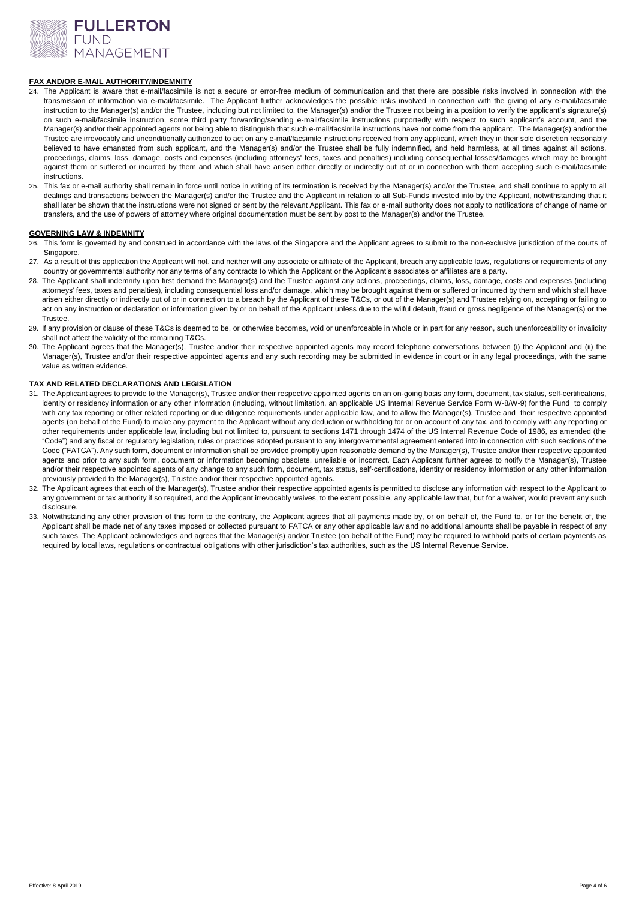

## **FAX AND/OR E-MAIL AUTHORITY/INDEMNITY**

- 24. The Applicant is aware that e-mail/facsimile is not a secure or error-free medium of communication and that there are possible risks involved in connection with the transmission of information via e-mail/facsimile. The Applicant further acknowledges the possible risks involved in connection with the giving of any e-mail/facsimile instruction to the Manager(s) and/or the Trustee, including but not limited to, the Manager(s) and/or the Trustee not being in a position to verify the applicant's signature(s) on such e-mail/facsimile instruction, some third party forwarding/sending e-mail/facsimile instructions purportedly with respect to such applicant's account, and the Manager(s) and/or their appointed agents not being able to distinguish that such e-mail/facsimile instructions have not come from the applicant. The Manager(s) and/or the Trustee are irrevocably and unconditionally authorized to act on any e-mail/facsimile instructions received from any applicant, which they in their sole discretion reasonably believed to have emanated from such applicant, and the Manager(s) and/or the Trustee shall be fully indemnified, and held harmless, at all times against all actions, proceedings, claims, loss, damage, costs and expenses (including attorneys' fees, taxes and penalties) including consequential losses/damages which may be brought against them or suffered or incurred by them and which shall have arisen either directly or indirectly out of or in connection with them accepting such e-mail/facsimile instructions.
- 25. This fax or e-mail authority shall remain in force until notice in writing of its termination is received by the Manager(s) and/or the Trustee, and shall continue to apply to all dealings and transactions between the Manager(s) and/or the Trustee and the Applicant in relation to all Sub-Funds invested into by the Applicant, notwithstanding that it shall later be shown that the instructions were not signed or sent by the relevant Applicant. This fax or e-mail authority does not apply to notifications of change of name or transfers, and the use of powers of attorney where original documentation must be sent by post to the Manager(s) and/or the Trustee.

#### **GOVERNING LAW & INDEMNITY**

- 26. This form is governed by and construed in accordance with the laws of the Singapore and the Applicant agrees to submit to the non-exclusive jurisdiction of the courts of Singapore.
- 27. As a result of this application the Applicant will not, and neither will any associate or affiliate of the Applicant, breach any applicable laws, requiations or requirements of any country or governmental authority nor any terms of any contracts to which the Applicant or the Applicant's associates or affiliates are a party.
- 28. The Applicant shall indemnify upon first demand the Manager(s) and the Trustee against any actions, proceedings, claims, loss, damage, costs and expenses (including attorneys' fees, taxes and penalties), including consequential loss and/or damage, which may be brought against them or suffered or incurred by them and which shall have arisen either directly or indirectly out of or in connection to a breach by the Applicant of these T&Cs, or out of the Manager(s) and Trustee relying on, accepting or failing to act on any instruction or declaration or information given by or on behalf of the Applicant unless due to the wilful default, fraud or gross negligence of the Manager(s) or the Trustee.
- 29. If any provision or clause of these T&Cs is deemed to be, or otherwise becomes, void or unenforceable in whole or in part for any reason, such unenforceability or invalidity shall not affect the validity of the remaining T&Cs.
- 30. The Applicant agrees that the Manager(s), Trustee and/or their respective appointed agents may record telephone conversations between (i) the Applicant and (ii) the Manager(s), Trustee and/or their respective appointed agents and any such recording may be submitted in evidence in court or in any legal proceedings, with the same value as written evidence.

## **TAX AND RELATED DECLARATIONS AND LEGISLATION**

- 31. The Applicant agrees to provide to the Manager(s), Trustee and/or their respective appointed agents on an on-going basis any form, document, tax status, self-certifications, identity or residency information or any other information (including, without limitation, an applicable US Internal Revenue Service Form W-8/W-9) for the Fund to comply with any tax reporting or other related reporting or due diligence requirements under applicable law, and to allow the Manager(s), Trustee and their respective appointed agents (on behalf of the Fund) to make any payment to the Applicant without any deduction or withholding for or on account of any tax, and to comply with any reporting or other requirements under applicable law, including but not limited to, pursuant to sections 1471 through 1474 of the US Internal Revenue Code of 1986, as amended (the "Code") and any fiscal or regulatory legislation, rules or practices adopted pursuant to any intergovernmental agreement entered into in connection with such sections of the Code ("FATCA"). Any such form, document or information shall be provided promptly upon reasonable demand by the Manager(s), Trustee and/or their respective appointed agents and prior to any such form, document or information becoming obsolete, unreliable or incorrect. Each Applicant further agrees to notify the Manager(s), Trustee and/or their respective appointed agents of any change to any such form, document, tax status, self-certifications, identity or residency information or any other information previously provided to the Manager(s), Trustee and/or their respective appointed agents.
- 32. The Applicant agrees that each of the Manager(s), Trustee and/or their respective appointed agents is permitted to disclose any information with respect to the Applicant to any government or tax authority if so required, and the Applicant irrevocably waives, to the extent possible, any applicable law that, but for a waiver, would prevent any such disclosure.
- 33. Notwithstanding any other provision of this form to the contrary, the Applicant agrees that all payments made by, or on behalf of, the Fund to, or for the benefit of, the Applicant shall be made net of any taxes imposed or collected pursuant to FATCA or any other applicable law and no additional amounts shall be payable in respect of any such taxes. The Applicant acknowledges and agrees that the Manager(s) and/or Trustee (on behalf of the Fund) may be required to withhold parts of certain payments as required by local laws, regulations or contractual obligations with other jurisdiction's tax authorities, such as the US Internal Revenue Service.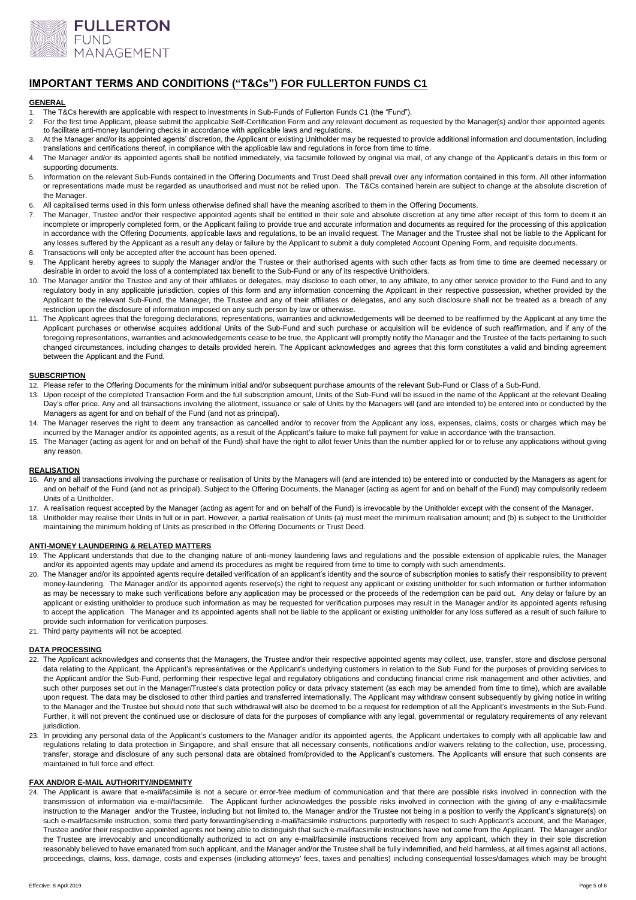

# **IMPORTANT TERMS AND CONDITIONS ("T&Cs") FOR FULLERTON FUNDS C1**

#### **GENERAL**

- 1. The T&Cs herewith are applicable with respect to investments in Sub-Funds of Fullerton Funds C1 (the "Fund").
- 2. For the first time Applicant, please submit the applicable Self-Certification Form and any relevant document as requested by the Manager(s) and/or their appointed agents to facilitate anti-money laundering checks in accordance with applicable laws and regulations.
- 3. At the Manager and/or its appointed agents' discretion, the Applicant or existing Unitholder may be requested to provide additional information and documentation, including translations and certifications thereof, in compliance with the applicable law and regulations in force from time to time.
- 4. The Manager and/or its appointed agents shall be notified immediately, via facsimile followed by original via mail, of any change of the Applicant's details in this form or supporting documents.
- 5. Information on the relevant Sub-Funds contained in the Offering Documents and Trust Deed shall prevail over any information contained in this form. All other information or representations made must be regarded as unauthorised and must not be relied upon. The T&Cs contained herein are subject to change at the absolute discretion of the Manager.
- 6. All capitalised terms used in this form unless otherwise defined shall have the meaning ascribed to them in the Offering Documents.<br>7 The Manager. Trustee and/or their respective appointed agents shall be entitled in th
- The Manager, Trustee and/or their respective appointed agents shall be entitled in their sole and absolute discretion at any time after receipt of this form to deem it an incomplete or improperly completed form, or the Applicant failing to provide true and accurate information and documents as required for the processing of this application in accordance with the Offering Documents, applicable laws and regulations, to be an invalid request. The Manager and the Trustee shall not be liable to the Applicant for any losses suffered by the Applicant as a result any delay or failure by the Applicant to submit a duly completed Account Opening Form, and requisite documents.
- 8. Transactions will only be accepted after the account has been opened.
- 9. The Applicant hereby agrees to supply the Manager and/or the Trustee or their authorised agents with such other facts as from time to time are deemed necessary or desirable in order to avoid the loss of a contemplated tax benefit to the Sub-Fund or any of its respective Unitholders.
- 10. The Manager and/or the Trustee and any of their affiliates or delegates, may disclose to each other, to any affiliate, to any other service provider to the Fund and to any regulatory body in any applicable jurisdiction, copies of this form and any information concerning the Applicant in their respective possession, whether provided by the Applicant to the relevant Sub-Fund, the Manager, the Trustee and any of their affiliates or delegates, and any such disclosure shall not be treated as a breach of any restriction upon the disclosure of information imposed on any such person by law or otherwise.
- 11. The Applicant agrees that the foregoing declarations, representations, warranties and acknowledgements will be deemed to be reaffirmed by the Applicant at any time the Applicant purchases or otherwise acquires additional Units of the Sub-Fund and such purchase or acquisition will be evidence of such reaffirmation, and if any of the foregoing representations, warranties and acknowledgements cease to be true, the Applicant will promptly notify the Manager and the Trustee of the facts pertaining to such changed circumstances, including changes to details provided herein. The Applicant acknowledges and agrees that this form constitutes a valid and binding agreement between the Applicant and the Fund.

### **SUBSCRIPTION**

- 12. Please refer to the Offering Documents for the minimum initial and/or subsequent purchase amounts of the relevant Sub-Fund or Class of a Sub-Fund.
- 13. Upon receipt of the completed Transaction Form and the full subscription amount, Units of the Sub-Fund will be issued in the name of the Applicant at the relevant Dealing Day's offer price. Any and all transactions involving the allotment, issuance or sale of Units by the Managers will (and are intended to) be entered into or conducted by the Managers as agent for and on behalf of the Fund (and not as principal).
- 14. The Manager reserves the right to deem any transaction as cancelled and/or to recover from the Applicant any loss, expenses, claims, costs or charges which may be incurred by the Manager and/or its appointed agents, as a result of the Applicant's failure to make full payment for value in accordance with the transaction.
- 15. The Manager (acting as agent for and on behalf of the Fund) shall have the right to allot fewer Units than the number applied for or to refuse any applications without giving any reason.

## **REALISATION**

- 16. Any and all transactions involving the purchase or realisation of Units by the Managers will (and are intended to) be entered into or conducted by the Managers as agent for and on behalf of the Fund (and not as principal). Subject to the Offering Documents, the Manager (acting as agent for and on behalf of the Fund) may compulsorily redeem Units of a Unitholder.
- 17. A realisation request accepted by the Manager (acting as agent for and on behalf of the Fund) is irrevocable by the Unitholder except with the consent of the Manager.
- 18. Unitholder may realise their Units in full or in part. However, a partial realisation of Units (a) must meet the minimum realisation amount; and (b) is subject to the Unitholder maintaining the minimum holding of Units as prescribed in the Offering Documents or Trust Deed.

#### **ANTI-MONEY LAUNDERING & RELATED MATTERS**

- 19. The Applicant understands that due to the changing nature of anti-money laundering laws and regulations and the possible extension of applicable rules, the Manager and/or its appointed agents may update and amend its procedures as might be required from time to time to comply with such amendments.
- 20. The Manager and/or its appointed agents require detailed verification of an applicant's identity and the source of subscription monies to satisfy their responsibility to prevent money-laundering. The Manager and/or its appointed agents reserve(s) the right to request any applicant or existing unitholder for such information or further information as may be necessary to make such verifications before any application may be processed or the proceeds of the redemption can be paid out. Any delay or failure by an applicant or existing unitholder to produce such information as may be requested for verification purposes may result in the Manager and/or its appointed agents refusing to accept the application. The Manager and its appointed agents shall not be liable to the applicant or existing unitholder for any loss suffered as a result of such failure to provide such information for verification purposes.
- 21. Third party payments will not be accepted.

## **DATA PROCESSING**

- 22. The Applicant acknowledges and consents that the Managers, the Trustee and/or their respective appointed agents may collect, use, transfer, store and disclose personal data relating to the Applicant, the Applicant's representatives or the Applicant's underlying customers in relation to the Sub Fund for the purposes of providing services to the Applicant and/or the Sub-Fund, performing their respective legal and regulatory obligations and conducting financial crime risk management and other activities, and such other purposes set out in the Manager/Trustee's data protection policy or data privacy statement (as each may be amended from time to time), which are available upon request. The data may be disclosed to other third parties and transferred internationally. The Applicant may withdraw consent subsequently by giving notice in writing to the Manager and the Trustee but should note that such withdrawal will also be deemed to be a request for redemption of all the Applicant's investments in the Sub-Fund. Further, it will not prevent the continued use or disclosure of data for the purposes of compliance with any legal, governmental or regulatory requirements of any relevant jurisdiction.
- 23. In providing any personal data of the Applicant's customers to the Manager and/or its appointed agents, the Applicant undertakes to comply with all applicable law and regulations relating to data protection in Singapore, and shall ensure that all necessary consents, notifications and/or waivers relating to the collection, use, processing, transfer, storage and disclosure of any such personal data are obtained from/provided to the Applicant's customers. The Applicants will ensure that such consents are maintained in full force and effect.

## **FAX AND/OR E-MAIL AUTHORITY/INDEMNITY**

24. The Applicant is aware that e-mail/facsimile is not a secure or error-free medium of communication and that there are possible risks involved in connection with the transmission of information via e-mail/facsimile. The Applicant further acknowledges the possible risks involved in connection with the giving of any e-mail/facsimile instruction to the Manager and/or the Trustee, including but not limited to, the Manager and/or the Trustee not being in a position to verify the Applicant's signature(s) on such e-mail/facsimile instruction, some third party forwarding/sending e-mail/facsimile instructions purportedly with respect to such Applicant's account, and the Manager, Trustee and/or their respective appointed agents not being able to distinguish that such e-mail/facsimile instructions have not come from the Applicant. The Manager and/or the Trustee are irrevocably and unconditionally authorized to act on any e-mail/facsimile instructions received from any applicant, which they in their sole discretion reasonably believed to have emanated from such applicant, and the Manager and/or the Trustee shall be fully indemnified, and held harmless, at all times against all actions, proceedings, claims, loss, damage, costs and expenses (including attorneys' fees, taxes and penalties) including consequential losses/damages which may be brought